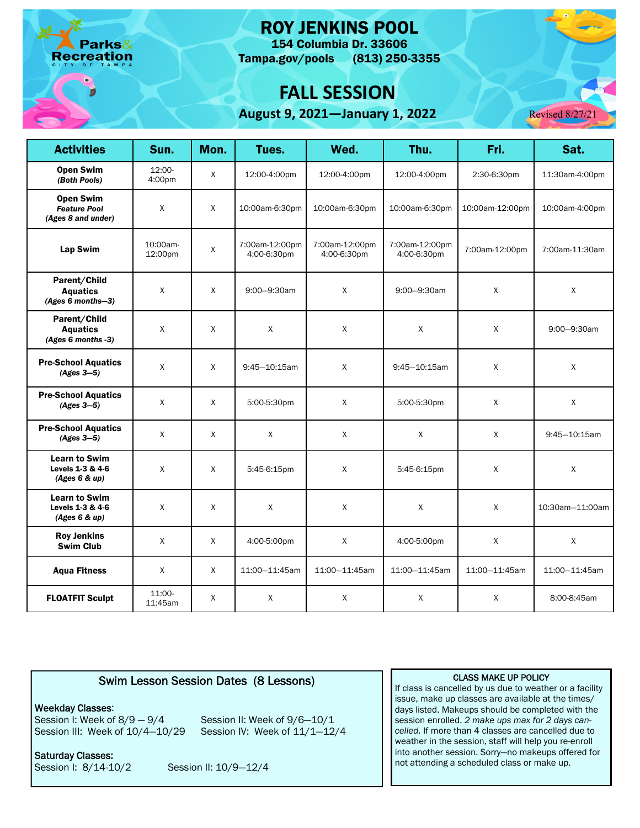arks& reation

## ROY JENKINS POOL

 Tampa.gov/pools (813) 250-3355 154 Columbia Dr. 33606

# **FALL SESSION**

**August 9, 2021—January 1, 2022** Revised 8/27/21



| <b>Activities</b>                                             | Sun.                | Mon.         | Tues.                         | Wed.                          | Thu.                          | Fri.            | Sat.              |
|---------------------------------------------------------------|---------------------|--------------|-------------------------------|-------------------------------|-------------------------------|-----------------|-------------------|
| <b>Open Swim</b><br>(Both Pools)                              | $12:00-$<br>4:00pm  | $\mathsf{X}$ | 12:00-4:00pm                  | 12:00-4:00pm                  | 12:00-4:00pm                  | 2:30-6:30pm     | 11:30am-4:00pm    |
| <b>Open Swim</b><br><b>Feature Pool</b><br>(Ages 8 and under) | $\mathsf X$         | $\mathsf{X}$ | 10:00am-6:30pm                | 10:00am-6:30pm                | 10:00am-6:30pm                | 10:00am-12:00pm | 10:00am-4:00pm    |
| Lap Swim                                                      | 10:00am-<br>12:00pm | $\mathsf X$  | 7:00am-12:00pm<br>4:00-6:30pm | 7:00am-12:00pm<br>4:00-6:30pm | 7:00am-12:00pm<br>4:00-6:30pm | 7:00am-12:00pm  | 7:00am-11:30am    |
| Parent/Child<br><b>Aquatics</b><br>(Ages 6 months-3)          | $\mathsf{X}$        | X            | 9:00-9:30am                   | X                             | 9:00-9:30am                   | X               | X                 |
| Parent/Child<br><b>Aquatics</b><br>(Ages 6 months -3)         | $\mathsf{X}$        | X            | X                             | Χ                             | X                             | $\mathsf{X}$    | 9:00-9:30am       |
| <b>Pre-School Aquatics</b><br>$(Ages 3-5)$                    | $\mathsf{X}$        | X            | $9:45 - 10:15$ am             | Χ                             | $9:45 - 10:15$ am             | Χ               | X                 |
| <b>Pre-School Aquatics</b><br>$(Ages 3-5)$                    | $\mathsf X$         | $\mathsf{X}$ | 5:00-5:30pm                   | $\mathsf{X}$                  | 5:00-5:30pm                   | $\mathsf{X}$    | $\mathsf{X}$      |
| <b>Pre-School Aquatics</b><br>$(Ages 3-5)$                    | $\mathsf{X}$        | X            | $\mathsf{X}$                  | X                             | X                             | $\mathsf{X}$    | $9:45 - 10:15$ am |
| <b>Learn to Swim</b><br>Levels 1-3 & 4-6<br>(Ages 6 & up)     | $\mathsf{X}$        | X            | 5:45-6:15pm                   | X                             | 5:45-6:15pm                   | X               | X                 |
| <b>Learn to Swim</b><br>Levels 1-3 & 4-6<br>(Ages 6 & up)     | $\mathsf X$         | $\mathsf{X}$ | X                             | $\mathsf{X}$                  | X                             | $\mathsf{X}$    | 10:30am-11:00am   |
| <b>Roy Jenkins</b><br><b>Swim Club</b>                        | X                   | X            | 4:00-5:00pm                   | X                             | 4:00-5:00pm                   | X               | X                 |
| <b>Aqua Fitness</b>                                           | Χ                   | Χ            | 11:00-11:45am                 | 11:00-11:45am                 | 11:00-11:45am                 | 11:00-11:45am   | 11:00-11:45am     |
| <b>FLOATFIT Sculpt</b>                                        | 11:00-<br>11:45am   | X            | X                             | $\mathsf{X}$                  | X                             | $\mathsf{X}$    | 8:00-8:45am       |

### Swim Lesson Session Dates (8 Lessons)

#### Weekday Classes:

Session III: Week of 10/4-10/29 Session IV: Week of 11/1-12/4 Session I: Week of  $8/9 - 9/4$  Session II: Week of  $9/6 - 10/1$ 

Session I: 8/14-10/2 Saturday Classes:

Session II: 10/9-12/4

#### CLASS MAKE UP POLICY

If class is cancelled by us due to weather or a facility issue, make up classes are available at the times/ days listed. Makeups should be completed with the session enrolled. *2 make ups max for 2 days cancelled.* If more than 4 classes are cancelled due to weather in the session, staff will help you re-enroll into another session. Sorry—no makeups offered for not attending a scheduled class or make up.